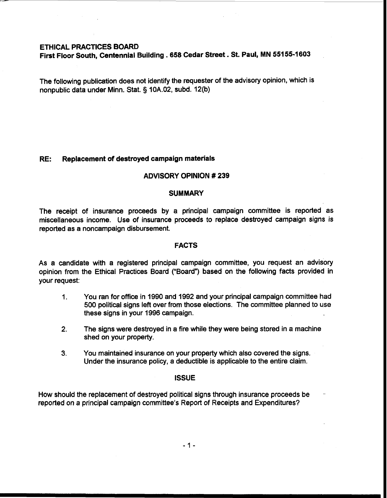## ETHICAL PRACTICES BOARD

First Floor South, Centennial Building . **658** Cedar Street . St. Paul, MN **551 55-1 603** 

The following publication does not identify the requester of the advisory opinion, which is nonpublic data under Minn. Stat. § 10A.02, subd. 12(b)

## RE: Replacement of destroyed campaign materials

## ADVISORY OPINION # 239

#### **SUMMARY**

The receipt of insurance proceeds by a principal campaign committee is reported as miscellaneous income. Use of insurance proceeds to replace destroyed campaign signs is reported as a noncampaign disbursement.

#### FACTS

As a candidate with a registered principal campaign committee, you request an advisory opinion from the Ethical Practices Board ("Board") based on the following facts provided in your request:

- 1. You ran for office in 1990 and 1992 and your principal campaign committee had 500 political signs left over from those elections. The committee planned to use these signs in your 1996 campaign.
- 2. The signs were destroyed in a fire while they were being stored in a machine shed on your property.
- **3.** You maintained insurance on your property which also covered the signs. Under the insurance policy, a deductible is applicable to the entire claim.

#### **ISSUE**

How should the replacement of destroyed political signs through insurance proceeds be . reported on a principal campaign committee's Report of Receipts and Expenditures?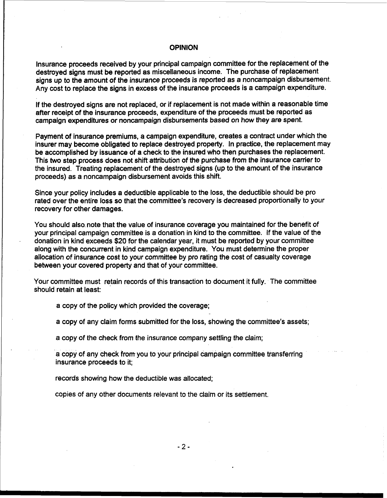# **OPINION**

Insurance proceeds received by your principal campaign committee for the replacement of the destroyed signs must be reported as miscellaneous income. The purchase of replacement signs up to the amount of the insurance proceeds is reported as a noncampaign disbursement. Any cost to replace the signs in excess of the insurance proceeds is a campaign expenditure.

If the destroyed signs are not replaced, or if replacement is not made within a reasonable time after receipt of the insurance proceeds, expenditure of the proceeds must be reported as campaign expenditures or noncampaign disbursements based on how they are spent.

Payment of insurance premiums, a campaign expenditure, creates a contract under which the insurer may become obligated to replace destroyed property. In practice, the replacement may be accomplished by issuance of a check to the insured who then purchases the replacement. This two step process does not shift attribution of the purchase from the insurance camer to the insured. Treating replacement of the destroyed signs (up to the amount of the insurance proceeds) as a noncampaign disbursement avoids this shift.

Since your policy includes a deductible applicable to the loss, the deductible should be pro rated over the entire loss so that the committee's recovery is decreased proportionally to your recovery for other damages.

You should also. note that the value of insurance coverage you maintained for the benefit of your principal campaign committee is a donation in kind to the committee. If the value of the donation in kind exceeds \$20 for the calendar year, it must be reported by your committee along with the concurrent in kind campaign expenditure. You must determine the proper allocation of insurance cost to your committee by pro rating the cost of casualty coverage between your covered property and that of your committee.

Your committee must retain records of this transaction to document it fully. The committee should retain at least:

a copy of the policy which provided the coverage;

a copy of any claim forms submitted for the loss, showing the committee's assets;

a copy of the check from the insurance company settling the claim;

a copy of any check from you to your principal campaign committee transferring insurance proceeds to it;

records showing how the deductible was allocated;

copies of any other documents relevant to the claim or its settlement.

 $-2-$